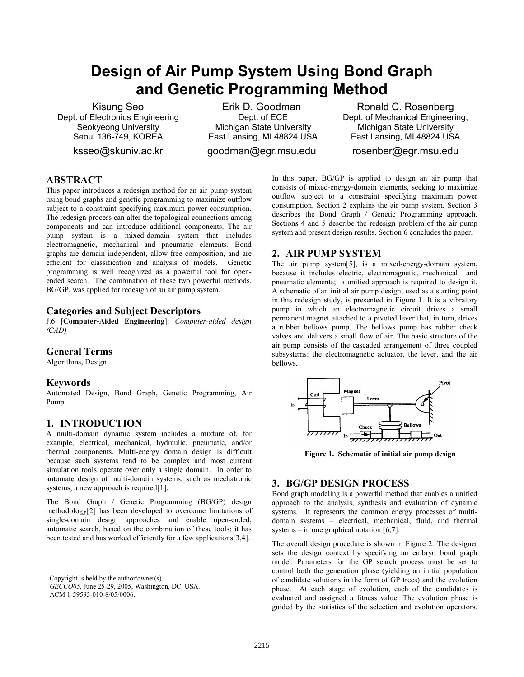# **Design of Air Pump System Using Bond Graph and Genetic Programming Method**

Kisung Seo Dept. of Electronics Engineering Seokyeong University Seoul 136-749, KOREA

ksseo@skuniv.ac.kr

Erik D. Goodman Dept. of ECE Michigan State University East Lansing, MI 48824 USA goodman@egr.msu.edu

Ronald C. Rosenberg Dept. of Mechanical Engineering, Michigan State University East Lansing, MI 48824 USA rosenber@egr.msu.edu

## **ABSTRACT**

This paper introduces a redesign method for an air pump system using bond graphs and genetic programming to maximize outflow subject to a constraint specifying maximum power consumption. The redesign process can alter the topological connections among components and can introduce additional components. The air pump system is a mixed-domain system that includes electromagnetic, mechanical and pneumatic elements. Bond graphs are domain independent, allow free composition, and are efficient for classification and analysis of models. Genetic programming is well recognized as a powerful tool for openended search. The combination of these two powerful methods, BG/GP, was applied for redesign of an air pump system.

### **Categories and Subject Descriptors**

J.6 [**Computer-Aided Engineering**]: *Computer-aided design (CAD)* 

## **General Terms**

Algorithms, Design

## **Keywords**

Automated Design, Bond Graph, Genetic Programming, Air Pump

## **1. INTRODUCTION**

A multi-domain dynamic system includes a mixture of, for example, electrical, mechanical, hydraulic, pneumatic, and/or thermal components. Multi-energy domain design is difficult because such systems tend to be complex and most current simulation tools operate over only a single domain. In order to automate design of multi-domain systems, such as mechatronic systems, a new approach is required[1].

The Bond Graph / Genetic Programming (BG/GP) design methodology[2] has been developed to overcome limitations of single-domain design approaches and enable open-ended, automatic search, based on the combination of these tools; it has been tested and has worked efficiently for a few applications[3,4].

Copyright is held by the author/owner(s). *GECCO05,* June 25-29, 2005, Washington, DC, USA. ACM 1-59593-010-8/05/0006.

In this paper, BG/GP is applied to design an air pump that consists of mixed-energy-domain elements, seeking to maximize outflow subject to a constraint specifying maximum power consumption. Section 2 explains the air pump system. Section 3 describes the Bond Graph / Genetic Programming approach. Sections 4 and 5 describe the redesign problem of the air pump system and present design results. Section 6 concludes the paper.

## **2. AIR PUMP SYSTEM**

The air pump system[5], is a mixed-energy-domain system, because it includes electric, electromagnetic, mechanical and pneumatic elements; a unified approach is required to design it. A schematic of an initial air pump design, used as a starting point in this redesign study, is presented in Figure 1. It is a vibratory pump in which an electromagnetic circuit drives a small permanent magnet attached to a pivoted lever that, in turn, drives a rubber bellows pump. The bellows pump has rubber check valves and delivers a small flow of air. The basic structure of the air pump consists of the cascaded arrangement of three coupled subsystems: the electromagnetic actuator, the lever, and the air bellows.



**Figure 1. Schematic of initial air pump design**

## **3. BG/GP DESIGN PROCESS**

Bond graph modeling is a powerful method that enables a unified approach to the analysis, synthesis and evaluation of dynamic systems. It represents the common energy processes of multidomain systems – electrical, mechanical, fluid, and thermal systems – in one graphical notation [6,7].

The overall design procedure is shown in Figure 2. The designer sets the design context by specifying an embryo bond graph model. Parameters for the GP search process must be set to control both the generation phase (yielding an initial population of candidate solutions in the form of GP trees) and the evolution phase. At each stage of evolution, each of the candidates is evaluated and assigned a fitness value. The evolution phase is guided by the statistics of the selection and evolution operators.